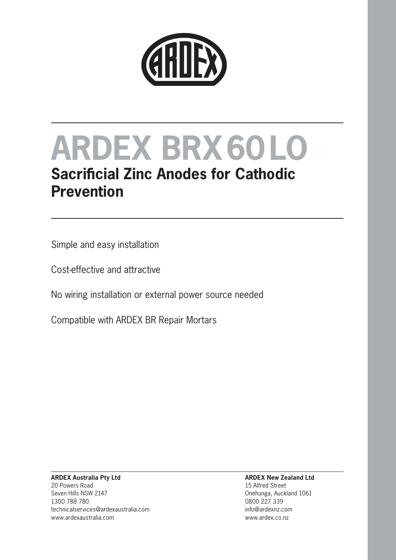

## **Sacrificial Zinc Anodes for Cathodic Prevention**

Simple and easy installation

Cost-effective and attractive

No wiring installation or external power source needed

Compatible with ARDEX BR Repair Mortars

#### **ARDEX Australia Pty Ltd** 20 Powers Road Seven Hills NSW 2147 1300 788 780 technicalservices@ardexaustralia.com www.ardexaustralia.com

#### **ARDEX New Zealand Ltd** 15 Alfred Street Onehunga, Auckland 1061 0800 227 339

info@ardexnz.com www.ardex.co.nz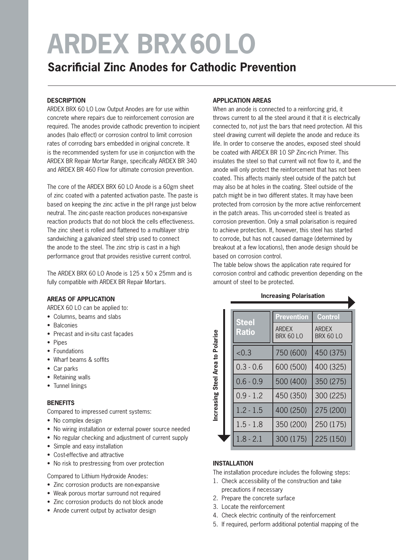### **Sacrificial Zinc Anodes for Cathodic Prevention**

#### **DESCRIPTION**

ARDEX BRX 60 LO Low Output Anodes are for use within concrete where repairs due to reinforcement corrosion are required. The anodes provide cathodic prevention to incipient anodes (halo effect) or corrosion control to limit corrosion rates of corroding bars embedded in original concrete. It is the recommended system for use in conjunction with the ARDEX BR Repair Mortar Range, specifically ARDEX BR 340 and ARDEX BR 460 Flow for ultimate corrosion prevention.

The core of the ARDEX BRX 60 LO Anode is a 60gm sheet of zinc coated with a patented activation paste. The paste is based on keeping the zinc active in the pH range just below neutral. The zinc-paste reaction produces non-expansive reaction products that do not block the cells effectiveness. The zinc sheet is rolled and flattened to a multilayer strip sandwiching a galvanized steel strip used to connect the anode to the steel. The zinc strip is cast in a high performance grout that provides resistive current control.

The ARDEX BRX 60 LO Anode is 125 x 50 x 25mm and is fully compatible with ARDEX BR Repair Mortars.

#### **AREAS OF APPLICATION**

ARDEX 60 LO can be applied to:

- Columns, beams and slabs
- Balconies
- Precast and in-situ cast façades
- Pipes
- Foundations
- Wharf beams & soffits
- Car parks
- Retaining walls
- Tunnel linings

#### **BENEFITS**

Compared to impressed current systems:

- No complex design
- No wiring installation or external power source needed
- No regular checking and adjustment of current supply
- Simple and easy installation
- Cost-effective and attractive
- No risk to prestressing from over protection

Compared to Lithium Hydroxide Anodes:

- Zinc corrosion products are non-expansive
- Weak porous mortar surround not required
- Zinc corrosion products do not block anode
- Anode current output by activator design

#### **APPLICATION AREAS**

When an anode is connected to a reinforcing grid, it throws current to all the steel around it that it is electrically connected to, not just the bars that need protection. All this steel drawing current will deplete the anode and reduce its life. In order to conserve the anodes, exposed steel should be coated with ARDEX BR 10 SP Zinc-rich Primer. This insulates the steel so that current will not flow to it, and the anode will only protect the reinforcement that has not been coated. This affects mainly steel outside of the patch but may also be at holes in the coating. Steel outside of the patch might be in two different states. It may have been protected from corrosion by the more active reinforcement in the patch areas. This un-corroded steel is treated as corrosion prevention. Only a small polarisation is required to achieve protection. If, however, this steel has started to corrode, but has not caused damage (determined by breakout at a few locations), then anode design should be based on corrosion control.

The table below shows the application rate required for corrosion control and cathodic prevention depending on the amount of steel to be protected.

| Polarise<br>$\mathbf{S}$  |  | <b>Steel</b><br><b>Ratio</b> | <b>Prevention</b>                | <b>Control</b>                   |
|---------------------------|--|------------------------------|----------------------------------|----------------------------------|
|                           |  |                              | <b>ARDFX</b><br><b>BRX 60 LO</b> | <b>ARDFX</b><br><b>BRX 60 LO</b> |
|                           |  | < 0.3                        | 750 (600)                        | 450 (375)                        |
| Area                      |  | $0.3 - 0.6$                  | 600 (500)                        | 400 (325)                        |
| <b>Steel</b><br>ncreasing |  | $0.6 - 0.9$                  | 500 (400)                        | 350 (275)                        |
|                           |  | $0.9 - 1.2$                  | 450 (350)                        | 300 (225)                        |
|                           |  | $1.2 - 1.5$                  | 400 (250)                        | 275 (200)                        |
|                           |  | $1.5 - 1.8$                  | 350 (200)                        | 250 (175)                        |
|                           |  | $1.8 - 2.1$                  | 300 (175)                        | 225 (150)                        |

#### **Increasing Polarisation**

#### **INSTALLATION**

The installation procedure includes the following steps:

- 1. Check accessibility of the construction and take precautions if necessary
- 2. Prepare the concrete surface
- 3. Locate the reinforcement
- 4. Check electric continuity of the reinforcement
- 5. If required, perform additional potential mapping of the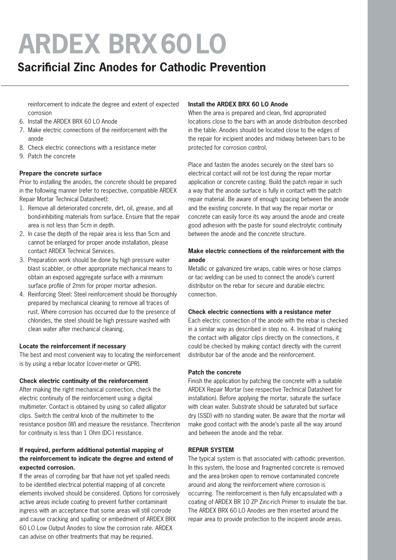### **Sacrificial Zinc Anodes for Cathodic Prevention**

 reinforcement to indicate the degree and extent of expected corrosion

- 6. Install the ARDEX BRX 60 LO Anode
- 7. Make electric connections of the reinforcement with the anode
- 8. Check electric connections with a resistance meter
- 9. Patch the concrete

#### **Prepare the concrete surface**

Prior to installing the anodes, the concrete should be prepared in the following manner (refer to respective, compatible ARDEX Repair Mortar Technical Datasheet):

- 1. Remove all deteriorated concrete, dirt, oil, grease, and all bond-inhibiting materials from surface. Ensure that the repair area is not less than 5cm in depth.
- 2. In case the depth of the repair area is less than 5cm and cannot be enlarged for proper anode installation, please contact ARDEX Technical Services.
- 3. Preparation work should be done by high pressure water blast scabbler, or other appropriate mechanical means to obtain an exposed aggregate surface with a minimum surface profile of 2mm for proper mortar adhesion.
- 4. Reinforcing Steel: Steel reinforcement should be thoroughly prepared by mechanical cleaning to remove all traces of rust. Where corrosion has occurred due to the presence of chlorides, the steel should be high pressure washed with clean water after mechanical cleaning.

#### **Locate the reinforcement if necessary**

The best and most convenient way to locating the reinforcement is by using a rebar locator (cover-meter or GPR).

#### **Check electric continuity of the reinforcement**

After making the right mechanical connection, check the electric continuity of the reinforcement using a digital multimeter. Contact is obtained by using so called alligator clips. Switch the central knob of the multimeter to the resistance position (W) and measure the resistance. Thecriterion for continuity is less than 1 Ohm (DC-) resistance.

#### **If required, perform additional potential mapping of the reinforcement to indicate the degree and extend of expected corrosion.**

If the areas of corroding bar that have not yet spalled needs to be identified electrical potential mapping of all concrete elements involved should be considered. Options for corrosively active areas include coating to prevent further contaminant ingress with an acceptance that some areas will still corrode and cause cracking and spalling or embedment of ARDEX BRX 60 LO Low Output Anodes to slow the corrosion rate. ARDEX can advise on other treatments that may be requried.

#### **Install the ARDEX BRX 60 LO Anode**

When the area is prepared and clean, find appropriated locations close to the bars with an anode distribution described in the table. Anodes should be located close to the edges of the repair for incipient anodes and midway between bars to be protected for corrosion control.

Place and fasten the anodes securely on the steel bars so electrical contact will not be lost during the repair mortar application or concrete casting. Build the patch repair in such a way that the anode surface is fully in contact with the patch repair material. Be aware of enough spacing between the anode and the existing concrete. In that way the repair mortar or concrete can easily force its way around the anode and create good adhesion with the paste for sound electrolytic continuity between the anode and the concrete structure.

#### **Make electric connections of the reinforcement with the anode**

Metallic or galvanized tire wraps, cable wires or hose clamps or tac welding can be used to connect the anode's current distributor on the rebar for secure and durable electric connection.

#### **Check electric connections with a resistance meter**

Each electric connection of the anode with the rebar is checked in a similar way as described in step no. 4. Instead of making the contact with alligator clips directly on the connections, it could be checked by making contact directly with the current distributor bar of the anode and the reinforcement.

#### **Patch the concrete**

Finish the application by patching the concrete with a suitable ARDEX Repair Mortar (see respective Technical Datasheet for installation). Before applying the mortar, saturate the surface with clean water. Substrate should be saturated but surface dry (SSD) with no standing water. Be aware that the mortar will make good contact with the anode's paste all the way around and between the anode and the rebar.

#### **REPAIR SYSTEM**

The typical system is that associated with cathodic prevention. In this system, the loose and fragmented concrete is removed and the area broken open to remove contaminated concrete around and along the reinforcement where corrosion is occurring. The reinforcement is then fully encapsulated with a coating of ARDEX BR 10 ZP Zinc-rich Primer to insulate the bar. The ARDEX BRX 60 LO Anodes are then inserted around the repair area to provide protection to the incipient anode areas.